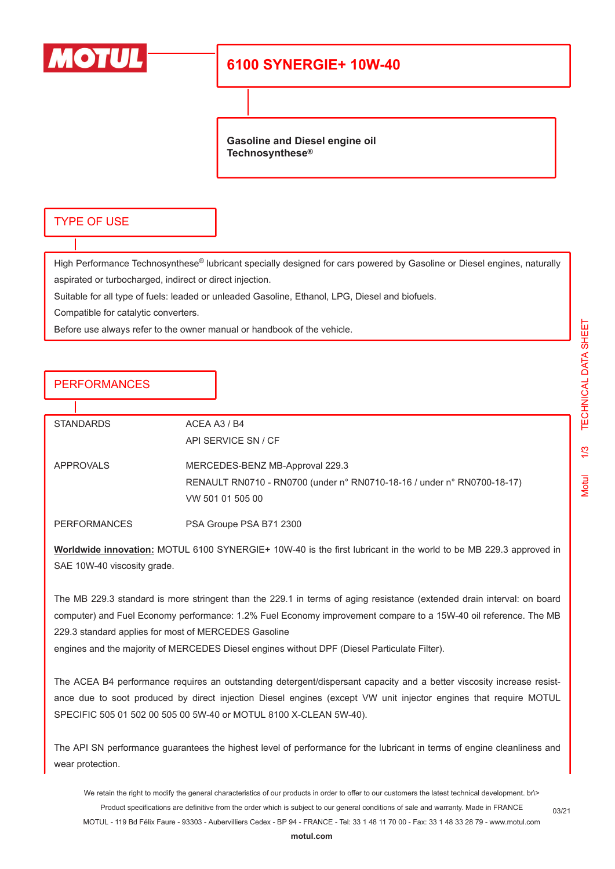

## **6100 SYNERGIE+ 10W-40**

**Gasoline and Diesel engine oil Technosynthese®**

#### TYPE OF USE

High Performance Technosynthese® lubricant specially designed for cars powered by Gasoline or Diesel engines, naturally aspirated or turbocharged, indirect or direct injection.

Suitable for all type of fuels: leaded or unleaded Gasoline, Ethanol, LPG, Diesel and biofuels.

Compatible for catalytic converters.

Before use always refer to the owner manual or handbook of the vehicle.

### **PERFORMANCES**

| <b>STANDARDS</b>    | ACEA A3 / B4                                                            |
|---------------------|-------------------------------------------------------------------------|
|                     | API SERVICE SN / CF                                                     |
|                     |                                                                         |
| APPROVALS           | MERCEDES-BENZ MB-Approval 229.3                                         |
|                     | RENAULT RN0710 - RN0700 (under n° RN0710-18-16 / under n° RN0700-18-17) |
|                     | VW 501 01 505 00                                                        |
|                     |                                                                         |
| <b>PERFORMANCES</b> | PSA Groupe PSA B71 2300                                                 |

**Worldwide innovation:** MOTUL 6100 SYNERGIE+ 10W-40 is the first lubricant in the world to be MB 229.3 approved in SAE 10W-40 viscosity grade.

The MB 229.3 standard is more stringent than the 229.1 in terms of aging resistance (extended drain interval: on board computer) and Fuel Economy performance: 1.2% Fuel Economy improvement compare to a 15W-40 oil reference. The MB 229.3 standard applies for most of MERCEDES Gasoline

engines and the majority of MERCEDES Diesel engines without DPF (Diesel Particulate Filter).

The ACEA B4 performance requires an outstanding detergent/dispersant capacity and a better viscosity increase resistance due to soot produced by direct injection Diesel engines (except VW unit injector engines that require MOTUL SPECIFIC 505 01 502 00 505 00 5W-40 or MOTUL 8100 X-CLEAN 5W-40).

The API SN performance guarantees the highest level of performance for the lubricant in terms of engine cleanliness and wear protection.

We retain the right to modify the general characteristics of our products in order to offer to our customers the latest technical development. br\> Product specifications are definitive from the order which is subject to our general conditions of sale and warranty. Made in FRANCE MOTUL - 119 Bd Félix Faure - 93303 - Aubervilliers Cedex - BP 94 - FRANCE - Tel: 33 1 48 11 70 00 - Fax: 33 1 48 33 28 79 - www.motul.com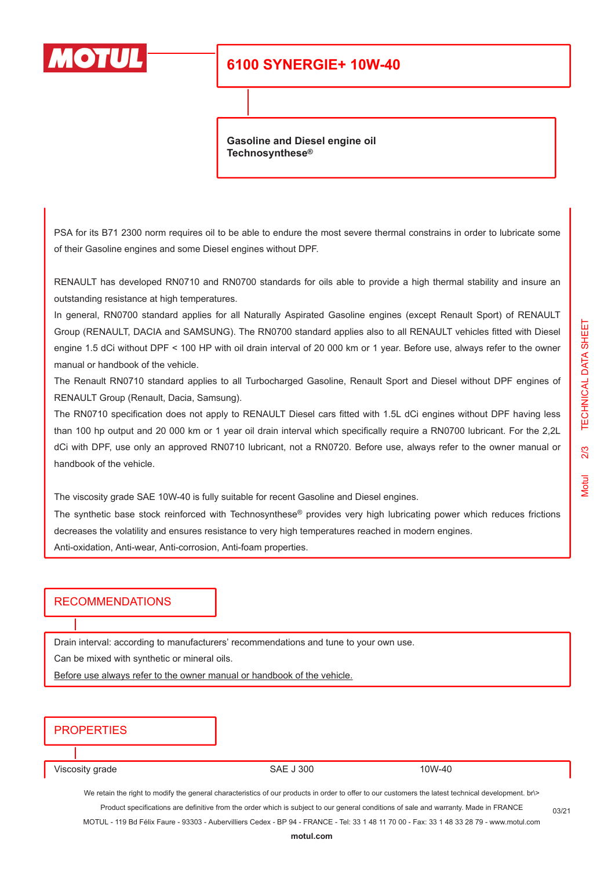

### **6100 SYNERGIE+ 10W-40**

**Gasoline and Diesel engine oil Technosynthese®**

PSA for its B71 2300 norm requires oil to be able to endure the most severe thermal constrains in order to lubricate some of their Gasoline engines and some Diesel engines without DPF.

RENAULT has developed RN0710 and RN0700 standards for oils able to provide a high thermal stability and insure an outstanding resistance at high temperatures.

In general, RN0700 standard applies for all Naturally Aspirated Gasoline engines (except Renault Sport) of RENAULT Group (RENAULT, DACIA and SAMSUNG). The RN0700 standard applies also to all RENAULT vehicles fitted with Diesel engine 1.5 dCi without DPF < 100 HP with oil drain interval of 20 000 km or 1 year. Before use, always refer to the owner manual or handbook of the vehicle.

The Renault RN0710 standard applies to all Turbocharged Gasoline, Renault Sport and Diesel without DPF engines of RENAULT Group (Renault, Dacia, Samsung).

The RN0710 specification does not apply to RENAULT Diesel cars fitted with 1.5L dCi engines without DPF having less than 100 hp output and 20 000 km or 1 year oil drain interval which specifically require a RN0700 lubricant. For the 2,2L dCi with DPF, use only an approved RN0710 lubricant, not a RN0720. Before use, always refer to the owner manual or handbook of the vehicle.

The viscosity grade SAE 10W-40 is fully suitable for recent Gasoline and Diesel engines.

The synthetic base stock reinforced with Technosynthese<sup>®</sup> provides very high lubricating power which reduces frictions decreases the volatility and ensures resistance to very high temperatures reached in modern engines.

Anti-oxidation, Anti-wear, Anti-corrosion, Anti-foam properties.

#### RECOMMENDATIONS

Drain interval: according to manufacturers' recommendations and tune to your own use.

Can be mixed with synthetic or mineral oils.

Before use always refer to the owner manual or handbook of the vehicle.

### **PROPERTIES**

Viscosity grade 10W-40

We retain the right to modify the general characteristics of our products in order to offer to our customers the latest technical development. br\> Product specifications are definitive from the order which is subject to our general conditions of sale and warranty. Made in FRANCE

MOTUL - 119 Bd Félix Faure - 93303 - Aubervilliers Cedex - BP 94 - FRANCE - Tel: 33 1 48 11 70 00 - Fax: 33 1 48 33 28 79 - www.motul.com

03/21